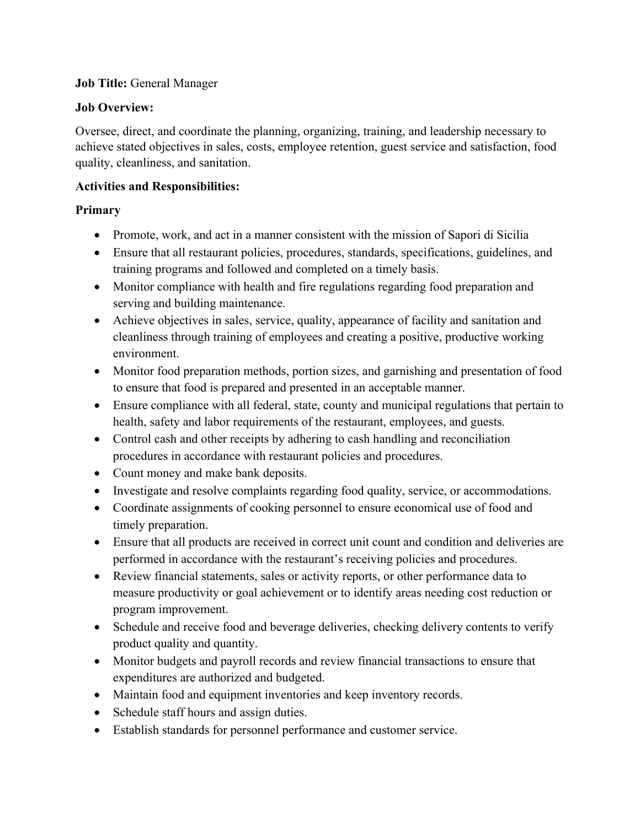#### **Job Title:** General Manager

#### **Job Overview:**

Oversee, direct, and coordinate the planning, organizing, training, and leadership necessary to achieve stated objectives in sales, costs, employee retention, guest service and satisfaction, food quality, cleanliness, and sanitation.

## **Activities and Responsibilities:**

# **Primary**

- Promote, work, and act in a manner consistent with the mission of Sapori di Sicilia
- Ensure that all restaurant policies, procedures, standards, specifications, guidelines, and training programs and followed and completed on a timely basis.
- Monitor compliance with health and fire regulations regarding food preparation and serving and building maintenance.
- Achieve objectives in sales, service, quality, appearance of facility and sanitation and cleanliness through training of employees and creating a positive, productive working environment.
- Monitor food preparation methods, portion sizes, and garnishing and presentation of food to ensure that food is prepared and presented in an acceptable manner.
- Ensure compliance with all federal, state, county and municipal regulations that pertain to health, safety and labor requirements of the restaurant, employees, and guests.
- Control cash and other receipts by adhering to cash handling and reconciliation procedures in accordance with restaurant policies and procedures.
- Count money and make bank deposits.
- Investigate and resolve complaints regarding food quality, service, or accommodations.
- Coordinate assignments of cooking personnel to ensure economical use of food and timely preparation.
- Ensure that all products are received in correct unit count and condition and deliveries are performed in accordance with the restaurant's receiving policies and procedures.
- Review financial statements, sales or activity reports, or other performance data to measure productivity or goal achievement or to identify areas needing cost reduction or program improvement.
- Schedule and receive food and beverage deliveries, checking delivery contents to verify product quality and quantity.
- Monitor budgets and payroll records and review financial transactions to ensure that expenditures are authorized and budgeted.
- Maintain food and equipment inventories and keep inventory records.
- Schedule staff hours and assign duties.
- Establish standards for personnel performance and customer service.